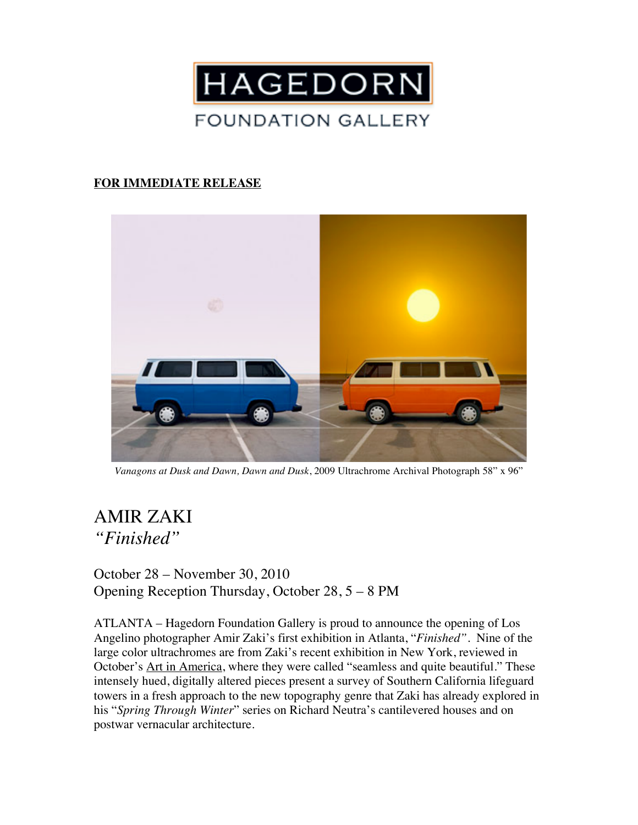

## **FOR IMMEDIATE RELEASE**



*Vanagons at Dusk and Dawn, Dawn and Dusk*, 2009 Ultrachrome Archival Photograph 58" x 96"

## AMIR ZAKI *"Finished"*

October 28 – November 30, 2010 Opening Reception Thursday, October 28, 5 – 8 PM

ATLANTA – Hagedorn Foundation Gallery is proud to announce the opening of Los Angelino photographer Amir Zaki's first exhibition in Atlanta, "*Finished".* Nine of the large color ultrachromes are from Zaki's recent exhibition in New York, reviewed in October's Art in America, where they were called "seamless and quite beautiful." These intensely hued, digitally altered pieces present a survey of Southern California lifeguard towers in a fresh approach to the new topography genre that Zaki has already explored in his "*Spring Through Winter*" series on Richard Neutra's cantilevered houses and on postwar vernacular architecture.